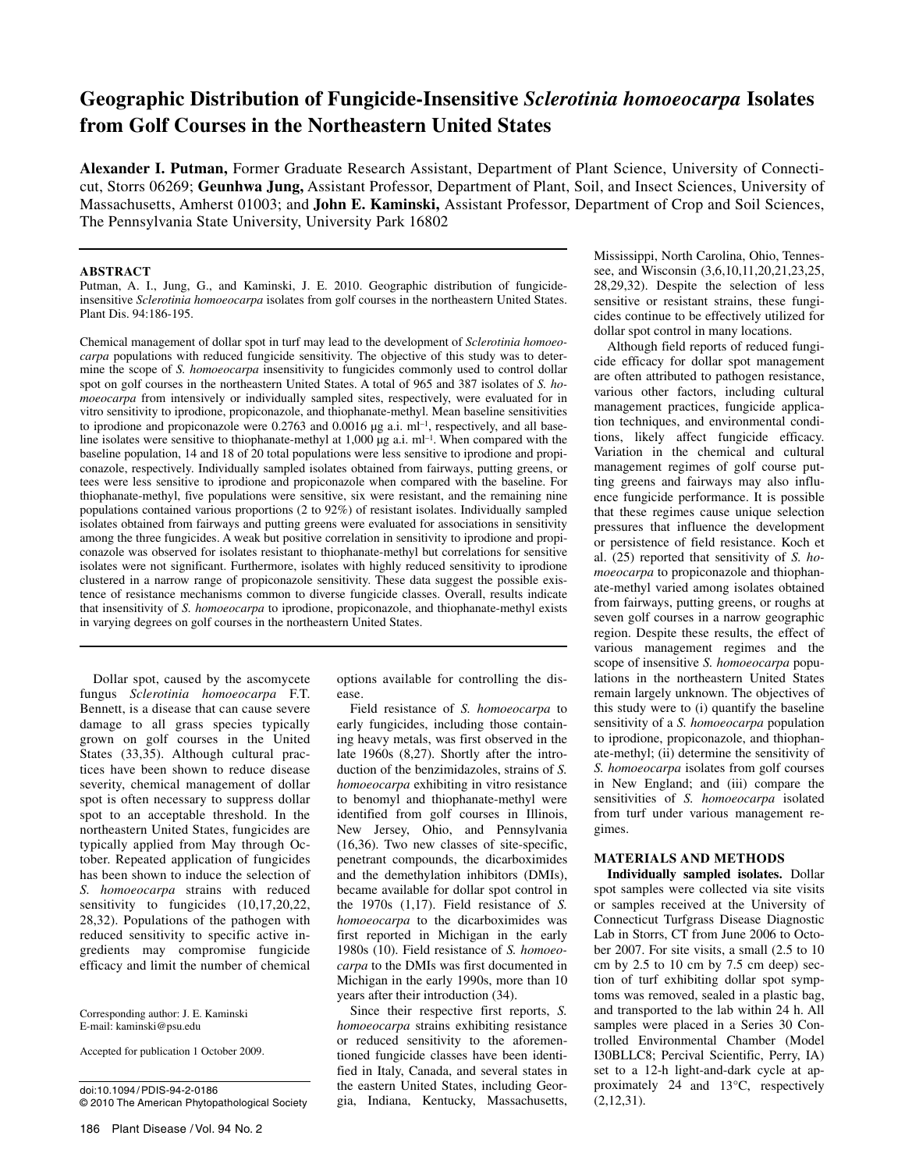# **Geographic Distribution of Fungicide-Insensitive** *Sclerotinia homoeocarpa* **Isolates from Golf Courses in the Northeastern United States**

**Alexander I. Putman,** Former Graduate Research Assistant, Department of Plant Science, University of Connecticut, Storrs 06269; **Geunhwa Jung,** Assistant Professor, Department of Plant, Soil, and Insect Sciences, University of Massachusetts, Amherst 01003; and **John E. Kaminski,** Assistant Professor, Department of Crop and Soil Sciences, The Pennsylvania State University, University Park 16802

## **ABSTRACT**

Putman, A. I., Jung, G., and Kaminski, J. E. 2010. Geographic distribution of fungicideinsensitive *Sclerotinia homoeocarpa* isolates from golf courses in the northeastern United States. Plant Dis. 94:186-195.

Chemical management of dollar spot in turf may lead to the development of *Sclerotinia homoeocarpa* populations with reduced fungicide sensitivity. The objective of this study was to determine the scope of *S. homoeocarpa* insensitivity to fungicides commonly used to control dollar spot on golf courses in the northeastern United States. A total of 965 and 387 isolates of *S. homoeocarpa* from intensively or individually sampled sites, respectively, were evaluated for in vitro sensitivity to iprodione, propiconazole, and thiophanate-methyl. Mean baseline sensitivities to iprodione and propiconazole were  $0.2763$  and  $0.0016 \mu$ g a.i. ml<sup>-1</sup>, respectively, and all baseline isolates were sensitive to thiophanate-methyl at 1,000  $\mu$ g a.i. ml<sup>-1</sup>. When compared with the baseline population, 14 and 18 of 20 total populations were less sensitive to iprodione and propiconazole, respectively. Individually sampled isolates obtained from fairways, putting greens, or tees were less sensitive to iprodione and propiconazole when compared with the baseline. For thiophanate-methyl, five populations were sensitive, six were resistant, and the remaining nine populations contained various proportions (2 to 92%) of resistant isolates. Individually sampled isolates obtained from fairways and putting greens were evaluated for associations in sensitivity among the three fungicides. A weak but positive correlation in sensitivity to iprodione and propiconazole was observed for isolates resistant to thiophanate-methyl but correlations for sensitive isolates were not significant. Furthermore, isolates with highly reduced sensitivity to iprodione clustered in a narrow range of propiconazole sensitivity. These data suggest the possible existence of resistance mechanisms common to diverse fungicide classes. Overall, results indicate that insensitivity of *S. homoeocarpa* to iprodione, propiconazole, and thiophanate-methyl exists in varying degrees on golf courses in the northeastern United States.

Dollar spot, caused by the ascomycete fungus *Sclerotinia homoeocarpa* F.T. Bennett, is a disease that can cause severe damage to all grass species typically grown on golf courses in the United States (33,35). Although cultural practices have been shown to reduce disease severity, chemical management of dollar spot is often necessary to suppress dollar spot to an acceptable threshold. In the northeastern United States, fungicides are typically applied from May through October. Repeated application of fungicides has been shown to induce the selection of *S. homoeocarpa* strains with reduced sensitivity to fungicides  $(10,17,20,22,$ 28,32). Populations of the pathogen with reduced sensitivity to specific active ingredients may compromise fungicide efficacy and limit the number of chemical

Corresponding author: J. E. Kaminski E-mail: kaminski@psu.edu

Accepted for publication 1 October 2009.

doi:10.1094/ PDIS-94-2-0186 © 2010 The American Phytopathological Society

options available for controlling the disease.

Field resistance of *S. homoeocarpa* to early fungicides, including those containing heavy metals, was first observed in the late 1960s (8,27). Shortly after the introduction of the benzimidazoles, strains of *S. homoeocarpa* exhibiting in vitro resistance to benomyl and thiophanate-methyl were identified from golf courses in Illinois, New Jersey, Ohio, and Pennsylvania (16,36). Two new classes of site-specific, penetrant compounds, the dicarboximides and the demethylation inhibitors (DMIs), became available for dollar spot control in the 1970s (1,17). Field resistance of *S. homoeocarpa* to the dicarboximides was first reported in Michigan in the early 1980s (10). Field resistance of *S. homoeocarpa* to the DMIs was first documented in Michigan in the early 1990s, more than 10 years after their introduction (34).

Since their respective first reports, *S. homoeocarpa* strains exhibiting resistance or reduced sensitivity to the aforementioned fungicide classes have been identified in Italy, Canada, and several states in the eastern United States, including Georgia, Indiana, Kentucky, Massachusetts, Mississippi, North Carolina, Ohio, Tennessee, and Wisconsin (3,6,10,11,20,21,23,25, 28,29,32). Despite the selection of less sensitive or resistant strains, these fungicides continue to be effectively utilized for dollar spot control in many locations.

Although field reports of reduced fungicide efficacy for dollar spot management are often attributed to pathogen resistance, various other factors, including cultural management practices, fungicide application techniques, and environmental conditions, likely affect fungicide efficacy. Variation in the chemical and cultural management regimes of golf course putting greens and fairways may also influence fungicide performance. It is possible that these regimes cause unique selection pressures that influence the development or persistence of field resistance. Koch et al. (25) reported that sensitivity of *S. homoeocarpa* to propiconazole and thiophanate-methyl varied among isolates obtained from fairways, putting greens, or roughs at seven golf courses in a narrow geographic region. Despite these results, the effect of various management regimes and the scope of insensitive *S. homoeocarpa* populations in the northeastern United States remain largely unknown. The objectives of this study were to (i) quantify the baseline sensitivity of a *S. homoeocarpa* population to iprodione, propiconazole, and thiophanate-methyl; (ii) determine the sensitivity of *S. homoeocarpa* isolates from golf courses in New England; and (iii) compare the sensitivities of *S. homoeocarpa* isolated from turf under various management regimes.

# **MATERIALS AND METHODS**

**Individually sampled isolates.** Dollar spot samples were collected via site visits or samples received at the University of Connecticut Turfgrass Disease Diagnostic Lab in Storrs, CT from June 2006 to October 2007. For site visits, a small (2.5 to 10 cm by 2.5 to 10 cm by 7.5 cm deep) section of turf exhibiting dollar spot symptoms was removed, sealed in a plastic bag, and transported to the lab within 24 h. All samples were placed in a Series 30 Controlled Environmental Chamber (Model I30BLLC8; Percival Scientific, Perry, IA) set to a 12-h light-and-dark cycle at approximately 24 and 13°C, respectively  $(2,12,31)$ .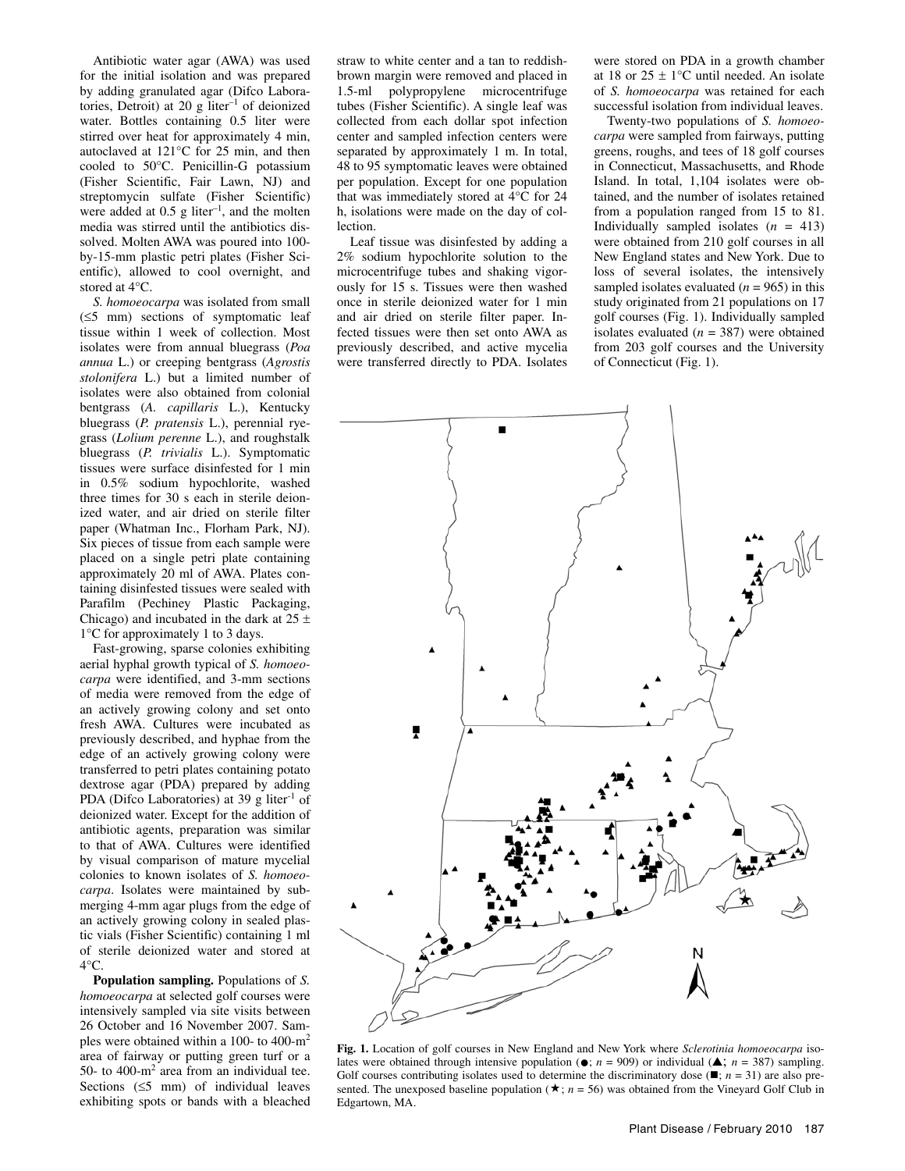Antibiotic water agar (AWA) was used for the initial isolation and was prepared by adding granulated agar (Difco Laboratories, Detroit) at 20 g liter–1 of deionized water. Bottles containing 0.5 liter were stirred over heat for approximately 4 min, autoclaved at 121°C for 25 min, and then cooled to 50°C. Penicillin-G potassium (Fisher Scientific, Fair Lawn, NJ) and streptomycin sulfate (Fisher Scientific) were added at  $0.5$  g liter<sup>-1</sup>, and the molten media was stirred until the antibiotics dissolved. Molten AWA was poured into 100 by-15-mm plastic petri plates (Fisher Scientific), allowed to cool overnight, and stored at 4°C.

*S. homoeocarpa* was isolated from small (≤5 mm) sections of symptomatic leaf tissue within 1 week of collection. Most isolates were from annual bluegrass (*Poa annua* L.) or creeping bentgrass (*Agrostis stolonifera* L.) but a limited number of isolates were also obtained from colonial bentgrass (*A. capillaris* L.), Kentucky bluegrass (*P. pratensis* L.), perennial ryegrass (*Lolium perenne* L.), and roughstalk bluegrass (*P. trivialis* L.). Symptomatic tissues were surface disinfested for 1 min in 0.5% sodium hypochlorite, washed three times for 30 s each in sterile deionized water, and air dried on sterile filter paper (Whatman Inc., Florham Park, NJ). Six pieces of tissue from each sample were placed on a single petri plate containing approximately 20 ml of AWA. Plates containing disinfested tissues were sealed with Parafilm (Pechiney Plastic Packaging, Chicago) and incubated in the dark at  $25 \pm$ 1°C for approximately 1 to 3 days.

Fast-growing, sparse colonies exhibiting aerial hyphal growth typical of *S. homoeocarpa* were identified, and 3-mm sections of media were removed from the edge of an actively growing colony and set onto fresh AWA. Cultures were incubated as previously described, and hyphae from the edge of an actively growing colony were transferred to petri plates containing potato dextrose agar (PDA) prepared by adding PDA (Difco Laboratories) at 39 g liter $^{-1}$  of deionized water. Except for the addition of antibiotic agents, preparation was similar to that of AWA. Cultures were identified by visual comparison of mature mycelial colonies to known isolates of *S. homoeocarpa*. Isolates were maintained by submerging 4-mm agar plugs from the edge of an actively growing colony in sealed plastic vials (Fisher Scientific) containing 1 ml of sterile deionized water and stored at 4°C.

**Population sampling.** Populations of *S. homoeocarpa* at selected golf courses were intensively sampled via site visits between 26 October and 16 November 2007. Samples were obtained within a 100- to 400-m2 area of fairway or putting green turf or a 50- to 400- $m^2$  area from an individual tee. Sections  $(≤5 mm)$  of individual leaves exhibiting spots or bands with a bleached

straw to white center and a tan to reddishbrown margin were removed and placed in 1.5-ml polypropylene microcentrifuge tubes (Fisher Scientific). A single leaf was collected from each dollar spot infection center and sampled infection centers were separated by approximately 1 m. In total, 48 to 95 symptomatic leaves were obtained per population. Except for one population that was immediately stored at 4°C for 24 h, isolations were made on the day of collection.

Leaf tissue was disinfested by adding a 2% sodium hypochlorite solution to the microcentrifuge tubes and shaking vigorously for 15 s. Tissues were then washed once in sterile deionized water for 1 min and air dried on sterile filter paper. Infected tissues were then set onto AWA as previously described, and active mycelia were transferred directly to PDA. Isolates

were stored on PDA in a growth chamber at 18 or  $25 \pm 1$ °C until needed. An isolate of *S. homoeocarpa* was retained for each successful isolation from individual leaves.

Twenty-two populations of *S. homoeocarpa* were sampled from fairways, putting greens, roughs, and tees of 18 golf courses in Connecticut, Massachusetts, and Rhode Island. In total, 1,104 isolates were obtained, and the number of isolates retained from a population ranged from 15 to 81. Individually sampled isolates  $(n = 413)$ were obtained from 210 golf courses in all New England states and New York. Due to loss of several isolates, the intensively sampled isolates evaluated  $(n = 965)$  in this study originated from 21 populations on 17 golf courses (Fig. 1). Individually sampled isolates evaluated  $(n = 387)$  were obtained from 203 golf courses and the University of Connecticut (Fig. 1).



**Fig. 1.** Location of golf courses in New England and New York where *Sclerotinia homoeocarpa* isolates were obtained through intensive population ( $\bullet$ ; *n* = 909) or individual ( $\bullet$ ; *n* = 387) sampling. Golf courses contributing isolates used to determine the discriminatory dose  $(\blacksquare; n = 31)$  are also presented. The unexposed baseline population ( $\star$ ; *n* = 56) was obtained from the Vineyard Golf Club in Edgartown, MA.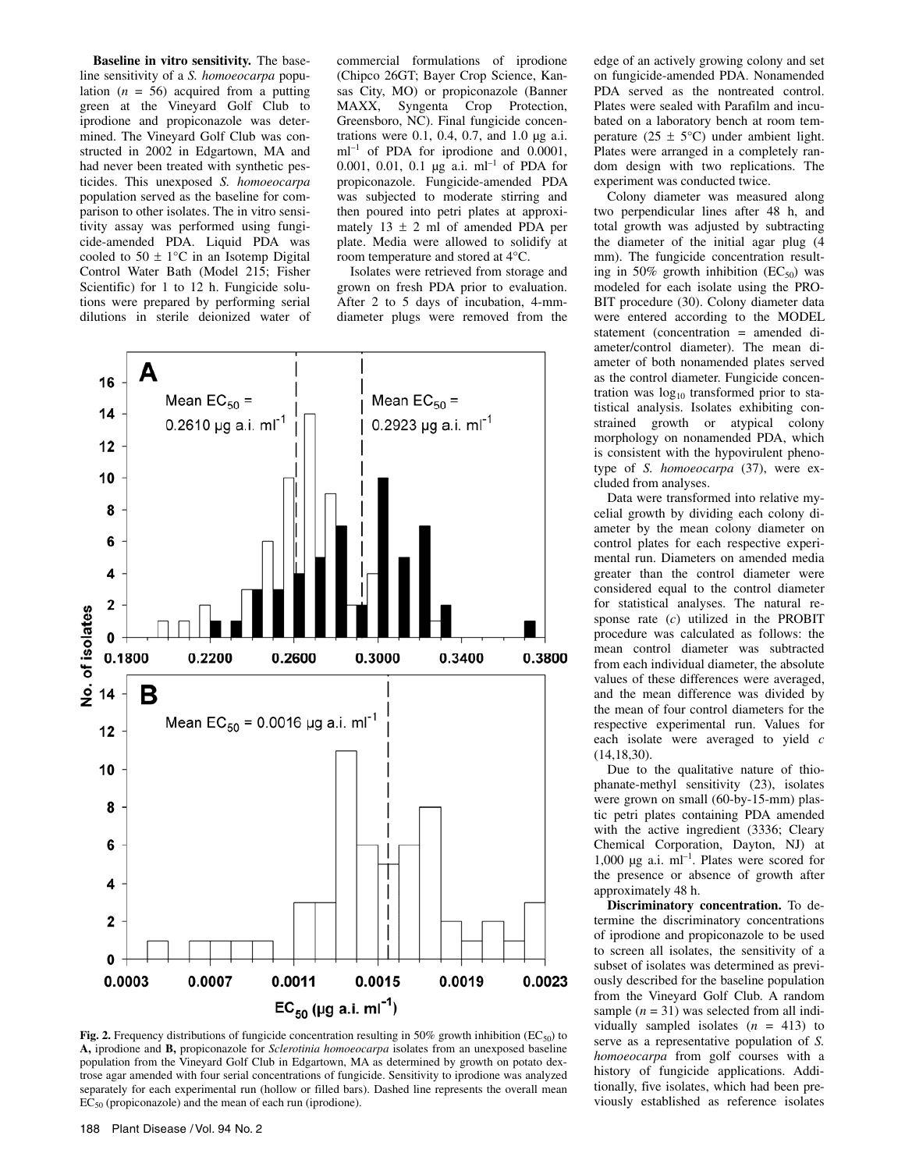**Baseline in vitro sensitivity.** The baseline sensitivity of a *S. homoeocarpa* population  $(n = 56)$  acquired from a putting green at the Vineyard Golf Club to iprodione and propiconazole was determined. The Vineyard Golf Club was constructed in 2002 in Edgartown, MA and had never been treated with synthetic pesticides. This unexposed *S. homoeocarpa* population served as the baseline for comparison to other isolates. The in vitro sensitivity assay was performed using fungicide-amended PDA. Liquid PDA was cooled to  $50 \pm 1$ °C in an Isotemp Digital Control Water Bath (Model 215; Fisher Scientific) for 1 to 12 h. Fungicide solutions were prepared by performing serial dilutions in sterile deionized water of

commercial formulations of iprodione (Chipco 26GT; Bayer Crop Science, Kansas City, MO) or propiconazole (Banner MAXX, Syngenta Crop Protection, Greensboro, NC). Final fungicide concentrations were 0.1, 0.4, 0.7, and 1.0 µg a.i.  $ml^{-1}$  of PDA for iprodione and 0.0001, 0.001, 0.01, 0.1 µg a.i. ml–1 of PDA for propiconazole. Fungicide-amended PDA was subjected to moderate stirring and then poured into petri plates at approximately  $13 \pm 2$  ml of amended PDA per plate. Media were allowed to solidify at room temperature and stored at 4°C.

Isolates were retrieved from storage and grown on fresh PDA prior to evaluation. After 2 to 5 days of incubation, 4-mmdiameter plugs were removed from the



**Fig. 2.** Frequency distributions of fungicide concentration resulting in 50% growth inhibition (EC<sub>50</sub>) to **A,** iprodione and **B,** propiconazole for *Sclerotinia homoeocarpa* isolates from an unexposed baseline population from the Vineyard Golf Club in Edgartown, MA as determined by growth on potato dextrose agar amended with four serial concentrations of fungicide. Sensitivity to iprodione was analyzed separately for each experimental run (hollow or filled bars). Dashed line represents the overall mean  $EC_{50}$  (propiconazole) and the mean of each run (iprodione).

edge of an actively growing colony and set on fungicide-amended PDA. Nonamended PDA served as the nontreated control. Plates were sealed with Parafilm and incubated on a laboratory bench at room temperature (25  $\pm$  5°C) under ambient light. Plates were arranged in a completely random design with two replications. The experiment was conducted twice.

Colony diameter was measured along two perpendicular lines after 48 h, and total growth was adjusted by subtracting the diameter of the initial agar plug (4 mm). The fungicide concentration resulting in 50% growth inhibition  $(EC_{50})$  was modeled for each isolate using the PRO-BIT procedure (30). Colony diameter data were entered according to the MODEL statement (concentration = amended diameter/control diameter). The mean diameter of both nonamended plates served as the control diameter. Fungicide concentration was  $log_{10}$  transformed prior to statistical analysis. Isolates exhibiting constrained growth or atypical colony morphology on nonamended PDA, which is consistent with the hypovirulent phenotype of *S. homoeocarpa* (37), were excluded from analyses.

Data were transformed into relative mycelial growth by dividing each colony diameter by the mean colony diameter on control plates for each respective experimental run. Diameters on amended media greater than the control diameter were considered equal to the control diameter for statistical analyses. The natural response rate (*c*) utilized in the PROBIT procedure was calculated as follows: the mean control diameter was subtracted from each individual diameter, the absolute values of these differences were averaged, and the mean difference was divided by the mean of four control diameters for the respective experimental run. Values for each isolate were averaged to yield *c* (14,18,30).

Due to the qualitative nature of thiophanate-methyl sensitivity (23), isolates were grown on small (60-by-15-mm) plastic petri plates containing PDA amended with the active ingredient (3336; Cleary Chemical Corporation, Dayton, NJ) at 1,000  $\mu$ g a.i. ml<sup>-1</sup>. Plates were scored for the presence or absence of growth after approximately 48 h.

**Discriminatory concentration.** To determine the discriminatory concentrations of iprodione and propiconazole to be used to screen all isolates, the sensitivity of a subset of isolates was determined as previously described for the baseline population from the Vineyard Golf Club. A random sample  $(n = 31)$  was selected from all individually sampled isolates  $(n = 413)$  to serve as a representative population of *S. homoeocarpa* from golf courses with a history of fungicide applications. Additionally, five isolates, which had been previously established as reference isolates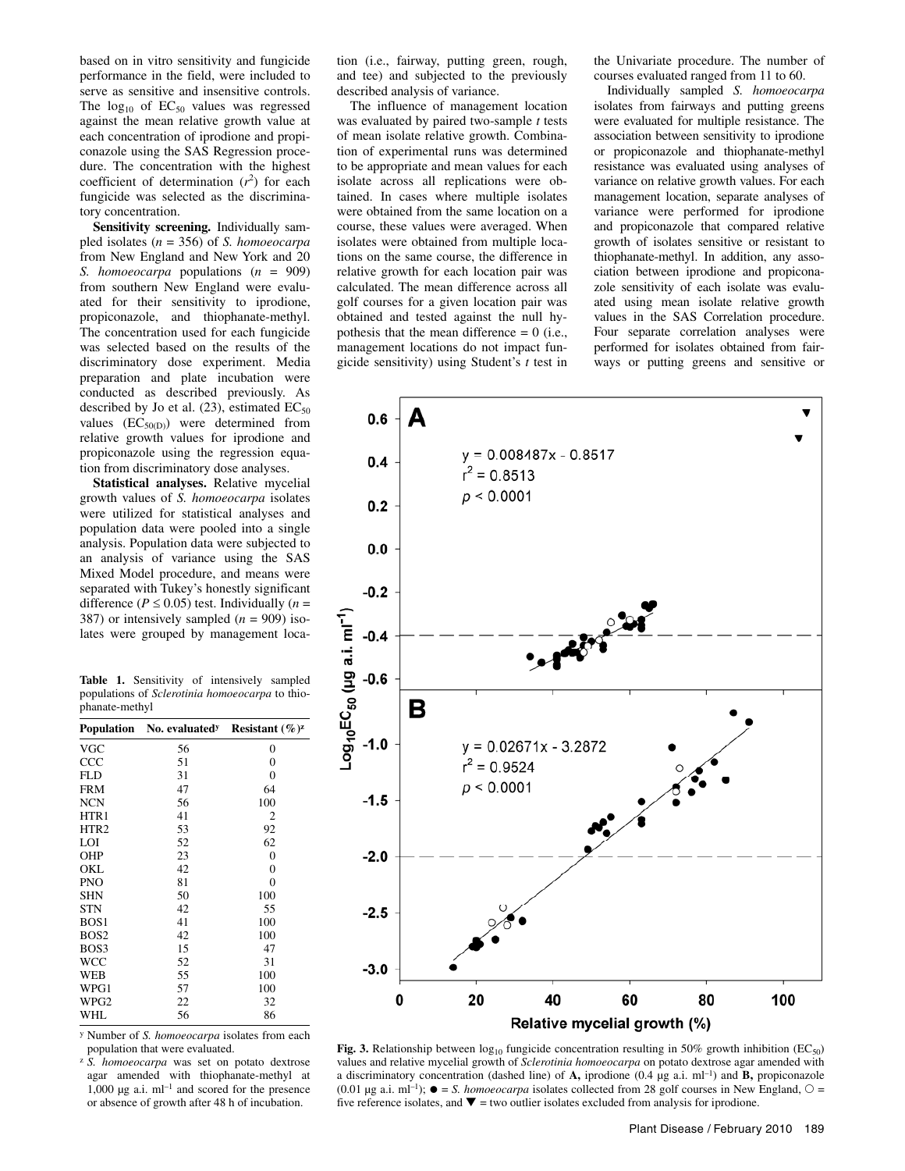based on in vitro sensitivity and fungicide performance in the field, were included to serve as sensitive and insensitive controls. The  $log_{10}$  of  $EC_{50}$  values was regressed against the mean relative growth value at each concentration of iprodione and propiconazole using the SAS Regression procedure. The concentration with the highest coefficient of determination  $(r^2)$  for each fungicide was selected as the discriminatory concentration.

**Sensitivity screening.** Individually sampled isolates (*n* = 356) of *S. homoeocarpa* from New England and New York and 20 *S. homoeocarpa* populations (*n* = 909) from southern New England were evaluated for their sensitivity to iprodione, propiconazole, and thiophanate-methyl. The concentration used for each fungicide was selected based on the results of the discriminatory dose experiment. Media preparation and plate incubation were conducted as described previously. As described by Jo et al.  $(23)$ , estimated  $EC_{50}$ values  $(EC_{50(D)})$  were determined from relative growth values for iprodione and propiconazole using the regression equation from discriminatory dose analyses.

**Statistical analyses.** Relative mycelial growth values of *S. homoeocarpa* isolates were utilized for statistical analyses and population data were pooled into a single analysis. Population data were subjected to an analysis of variance using the SAS Mixed Model procedure, and means were separated with Tukey's honestly significant difference ( $P \le 0.05$ ) test. Individually ( $n =$ 387) or intensively sampled (*n* = 909) isolates were grouped by management loca-

|                |  | <b>Table 1.</b> Sensitivity of intensively sampled |  |
|----------------|--|----------------------------------------------------|--|
|                |  | populations of Sclerotinia homoeocarpa to thio-    |  |
| phanate-methyl |  |                                                    |  |

|                  | <b>Population</b> No. evaluated <sup>y</sup> | Resistant $(\%)^{z}$ |
|------------------|----------------------------------------------|----------------------|
| <b>VGC</b>       | 56                                           | 0                    |
| CCC              | 51                                           | $\overline{0}$       |
| <b>FLD</b>       | 31                                           | $\overline{0}$       |
| <b>FRM</b>       | 47                                           | 64                   |
| <b>NCN</b>       | 56                                           | 100                  |
| HTR1             | 41                                           | 2                    |
| HTR <sub>2</sub> | 53                                           | 92                   |
| LOI              | 52                                           | 62                   |
| <b>OHP</b>       | 23                                           | 0                    |
| OKL              | 42                                           | $\overline{0}$       |
| <b>PNO</b>       | 81                                           | $\theta$             |
| <b>SHN</b>       | 50                                           | 100                  |
| <b>STN</b>       | 42                                           | 55                   |
| BOS <sub>1</sub> | 41                                           | 100                  |
| BOS <sub>2</sub> | 42                                           | 100                  |
| BOS3             | 15                                           | 47                   |
| <b>WCC</b>       | 52                                           | 31                   |
| <b>WEB</b>       | 55                                           | 100                  |
| WPG1             | 57                                           | 100                  |
| WPG <sub>2</sub> | 22                                           | 32                   |
| WHL              | 56                                           | 86                   |

y Number of *S. homoeocarpa* isolates from each population that were evaluated.

<sup>z</sup>*S. homoeocarpa* was set on potato dextrose agar amended with thiophanate-methyl at  $1,000 \mu$ g a.i. ml<sup>-1</sup> and scored for the presence or absence of growth after 48 h of incubation.

tion (i.e., fairway, putting green, rough, and tee) and subjected to the previously described analysis of variance.

The influence of management location was evaluated by paired two-sample *t* tests of mean isolate relative growth. Combination of experimental runs was determined to be appropriate and mean values for each isolate across all replications were obtained. In cases where multiple isolates were obtained from the same location on a course, these values were averaged. When isolates were obtained from multiple locations on the same course, the difference in relative growth for each location pair was calculated. The mean difference across all golf courses for a given location pair was obtained and tested against the null hypothesis that the mean difference  $= 0$  (i.e., management locations do not impact fungicide sensitivity) using Student's *t* test in

the Univariate procedure. The number of courses evaluated ranged from 11 to 60.

Individually sampled *S. homoeocarpa* isolates from fairways and putting greens were evaluated for multiple resistance. The association between sensitivity to iprodione or propiconazole and thiophanate-methyl resistance was evaluated using analyses of variance on relative growth values. For each management location, separate analyses of variance were performed for iprodione and propiconazole that compared relative growth of isolates sensitive or resistant to thiophanate-methyl. In addition, any association between iprodione and propiconazole sensitivity of each isolate was evaluated using mean isolate relative growth values in the SAS Correlation procedure. Four separate correlation analyses were performed for isolates obtained from fairways or putting greens and sensitive or



Fig. 3. Relationship between  $log_{10}$  fungicide concentration resulting in 50% growth inhibition (EC<sub>50</sub>) values and relative mycelial growth of *Sclerotinia homoeocarpa* on potato dextrose agar amended with a discriminatory concentration (dashed line) of **A**, iprodione  $(0.4 \mu g a.i. \text{ ml}^{-1})$  and **B**, propiconazole (0.01 µg a.i. ml<sup>-1</sup>);  $\bullet$  = *S. homoeocarpa* isolates collected from 28 golf courses in New England,  $\circ$  = five reference isolates, and  $\nabla$  = two outlier isolates excluded from analysis for iprodione.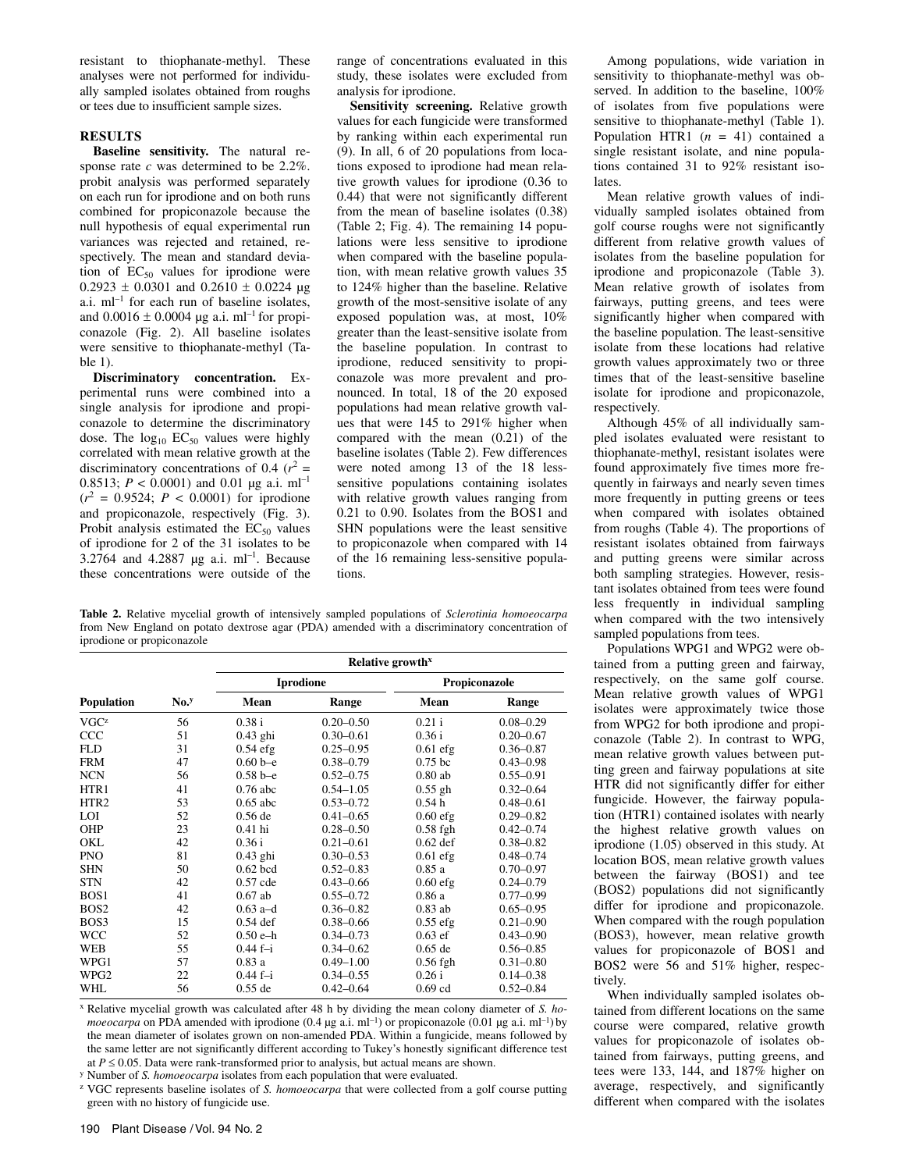resistant to thiophanate-methyl. These analyses were not performed for individually sampled isolates obtained from roughs or tees due to insufficient sample sizes.

# **RESULTS**

**Baseline sensitivity.** The natural response rate *c* was determined to be 2.2%. probit analysis was performed separately on each run for iprodione and on both runs combined for propiconazole because the null hypothesis of equal experimental run variances was rejected and retained, respectively. The mean and standard deviation of  $EC_{50}$  values for iprodione were  $0.2923 \pm 0.0301$  and  $0.2610 \pm 0.0224$  µg a.i.  $ml^{-1}$  for each run of baseline isolates, and  $0.0016 \pm 0.0004$  µg a.i. ml<sup>-1</sup> for propiconazole (Fig. 2). All baseline isolates were sensitive to thiophanate-methyl (Table 1).

**Discriminatory concentration.** Experimental runs were combined into a single analysis for iprodione and propiconazole to determine the discriminatory dose. The  $log_{10}$  EC<sub>50</sub> values were highly correlated with mean relative growth at the discriminatory concentrations of 0.4  $(r^2 =$ 0.8513;  $P < 0.0001$ ) and 0.01 µg a.i. ml<sup>-1</sup>  $(r^2 = 0.9524; P < 0.0001)$  for iprodione and propiconazole, respectively (Fig. 3). Probit analysis estimated the  $EC_{50}$  values of iprodione for 2 of the 31 isolates to be 3.2764 and 4.2887 µg a.i. ml<sup>-1</sup>. Because these concentrations were outside of the

range of concentrations evaluated in this study, these isolates were excluded from analysis for iprodione.

**Sensitivity screening.** Relative growth values for each fungicide were transformed by ranking within each experimental run (9). In all, 6 of 20 populations from locations exposed to iprodione had mean relative growth values for iprodione (0.36 to 0.44) that were not significantly different from the mean of baseline isolates (0.38) (Table 2; Fig. 4). The remaining 14 populations were less sensitive to iprodione when compared with the baseline population, with mean relative growth values 35 to 124% higher than the baseline. Relative growth of the most-sensitive isolate of any exposed population was, at most, 10% greater than the least-sensitive isolate from the baseline population. In contrast to iprodione, reduced sensitivity to propiconazole was more prevalent and pronounced. In total, 18 of the 20 exposed populations had mean relative growth values that were 145 to 291% higher when compared with the mean (0.21) of the baseline isolates (Table 2). Few differences were noted among 13 of the 18 lesssensitive populations containing isolates with relative growth values ranging from 0.21 to 0.90. Isolates from the BOS1 and SHN populations were the least sensitive to propiconazole when compared with 14 of the 16 remaining less-sensitive populations.

**Table 2.** Relative mycelial growth of intensively sampled populations of *Sclerotinia homoeocarpa* from New England on potato dextrose agar (PDA) amended with a discriminatory concentration of iprodione or propiconazole

|                  |                  | Relative growth <sup>x</sup> |                  |               |               |  |  |  |
|------------------|------------------|------------------------------|------------------|---------------|---------------|--|--|--|
|                  |                  |                              | <b>Iprodione</b> | Propiconazole |               |  |  |  |
| Population       | No. <sup>y</sup> | Mean                         | Range            | Mean          | Range         |  |  |  |
| VGC <sup>z</sup> | 56               | 0.38 i                       | $0.20 - 0.50$    | $0.21$ i      | $0.08 - 0.29$ |  |  |  |
| CCC              | 51               | $0.43$ ghi                   | $0.30 - 0.61$    | 0.36 i        | $0.20 - 0.67$ |  |  |  |
| <b>FLD</b>       | 31               | $0.54$ efg                   | $0.25 - 0.95$    | $0.61$ efg    | $0.36 - 0.87$ |  |  |  |
| <b>FRM</b>       | 47               | $0.60b-e$                    | $0.38 - 0.79$    | $0.75$ bc     | $0.43 - 0.98$ |  |  |  |
| <b>NCN</b>       | 56               | $0.58b-e$                    | $0.52 - 0.75$    | $0.80$ ab     | $0.55 - 0.91$ |  |  |  |
| HTR1             | 41               | $0.76$ abc                   | $0.54 - 1.05$    | $0.55$ gh     | $0.32 - 0.64$ |  |  |  |
| HTR <sub>2</sub> | 53               | $0.65$ abc                   | $0.53 - 0.72$    | 0.54h         | $0.48 - 0.61$ |  |  |  |
| <b>LOI</b>       | 52               | $0.56$ de                    | $0.41 - 0.65$    | $0.60$ efg    | $0.29 - 0.82$ |  |  |  |
| <b>OHP</b>       | 23               | $0.41$ hi                    | $0.28 - 0.50$    | $0.58$ fgh    | $0.42 - 0.74$ |  |  |  |
| OKL              | 42               | 0.36 i                       | $0.21 - 0.61$    | $0.62$ def    | $0.38 - 0.82$ |  |  |  |
| <b>PNO</b>       | 81               | $0.43$ ghi                   | $0.30 - 0.53$    | $0.61$ efg    | $0.48 - 0.74$ |  |  |  |
| <b>SHN</b>       | 50               | $0.62$ bcd                   | $0.52 - 0.83$    | 0.85a         | $0.70 - 0.97$ |  |  |  |
| <b>STN</b>       | 42               | $0.57$ cde                   | $0.43 - 0.66$    | $0.60$ efg    | $0.24 - 0.79$ |  |  |  |
| BOS <sub>1</sub> | 41               | $0.67$ ab                    | $0.55 - 0.72$    | 0.86a         | $0.77 - 0.99$ |  |  |  |
| BOS <sub>2</sub> | 42               | $0.63$ a-d                   | $0.36 - 0.82$    | $0.83$ ab     | $0.65 - 0.95$ |  |  |  |
| BOS3             | 15               | $0.54$ def                   | $0.38 - 0.66$    | $0.55$ efg    | $0.21 - 0.90$ |  |  |  |
| <b>WCC</b>       | 52               | $0.50 e-h$                   | $0.34 - 0.73$    | $0.63$ ef     | $0.43 - 0.90$ |  |  |  |
| <b>WEB</b>       | 55               | $0.44 f - i$                 | $0.34 - 0.62$    | $0.65$ de     | $0.56 - 0.85$ |  |  |  |
| WPG1             | 57               | 0.83a                        | $0.49 - 1.00$    | $0.56$ fgh    | $0.31 - 0.80$ |  |  |  |
| WPG2             | 22               | $0.44 f - i$                 | $0.34 - 0.55$    | 0.26i         | $0.14 - 0.38$ |  |  |  |
| WHL              | 56               | $0.55$ de                    | $0.42 - 0.64$    | $0.69$ cd     | $0.52 - 0.84$ |  |  |  |

x Relative mycelial growth was calculated after 48 h by dividing the mean colony diameter of *S. homoeocarpa* on PDA amended with iprodione (0.4 µg a.i. ml<sup>-1</sup>) or propiconazole (0.01 µg a.i. ml<sup>-1</sup>) by the mean diameter of isolates grown on non-amended PDA. Within a fungicide, means followed by the same letter are not significantly different according to Tukey's honestly significant difference test at  $P \le 0.05$ . Data were rank-transformed prior to analysis, but actual means are shown. y Number of *S. homoeocarpa* isolates from each population that were evaluated.

z VGC represents baseline isolates of *S. homoeocarpa* that were collected from a golf course putting green with no history of fungicide use.

Among populations, wide variation in sensitivity to thiophanate-methyl was observed. In addition to the baseline, 100% of isolates from five populations were sensitive to thiophanate-methyl (Table 1). Population HTR1  $(n = 41)$  contained a single resistant isolate, and nine populations contained 31 to 92% resistant isolates.

Mean relative growth values of individually sampled isolates obtained from golf course roughs were not significantly different from relative growth values of isolates from the baseline population for iprodione and propiconazole (Table 3). Mean relative growth of isolates from fairways, putting greens, and tees were significantly higher when compared with the baseline population. The least-sensitive isolate from these locations had relative growth values approximately two or three times that of the least-sensitive baseline isolate for iprodione and propiconazole, respectively.

Although 45% of all individually sampled isolates evaluated were resistant to thiophanate-methyl, resistant isolates were found approximately five times more frequently in fairways and nearly seven times more frequently in putting greens or tees when compared with isolates obtained from roughs (Table 4). The proportions of resistant isolates obtained from fairways and putting greens were similar across both sampling strategies. However, resistant isolates obtained from tees were found less frequently in individual sampling when compared with the two intensively sampled populations from tees.

Populations WPG1 and WPG2 were obtained from a putting green and fairway, respectively, on the same golf course. Mean relative growth values of WPG1 isolates were approximately twice those from WPG2 for both iprodione and propiconazole (Table 2). In contrast to WPG, mean relative growth values between putting green and fairway populations at site HTR did not significantly differ for either fungicide. However, the fairway population (HTR1) contained isolates with nearly the highest relative growth values on iprodione (1.05) observed in this study. At location BOS, mean relative growth values between the fairway (BOS1) and tee (BOS2) populations did not significantly differ for iprodione and propiconazole. When compared with the rough population (BOS3), however, mean relative growth values for propiconazole of BOS1 and BOS2 were 56 and 51% higher, respectively.

When individually sampled isolates obtained from different locations on the same course were compared, relative growth values for propiconazole of isolates obtained from fairways, putting greens, and tees were 133, 144, and 187% higher on average, respectively, and significantly different when compared with the isolates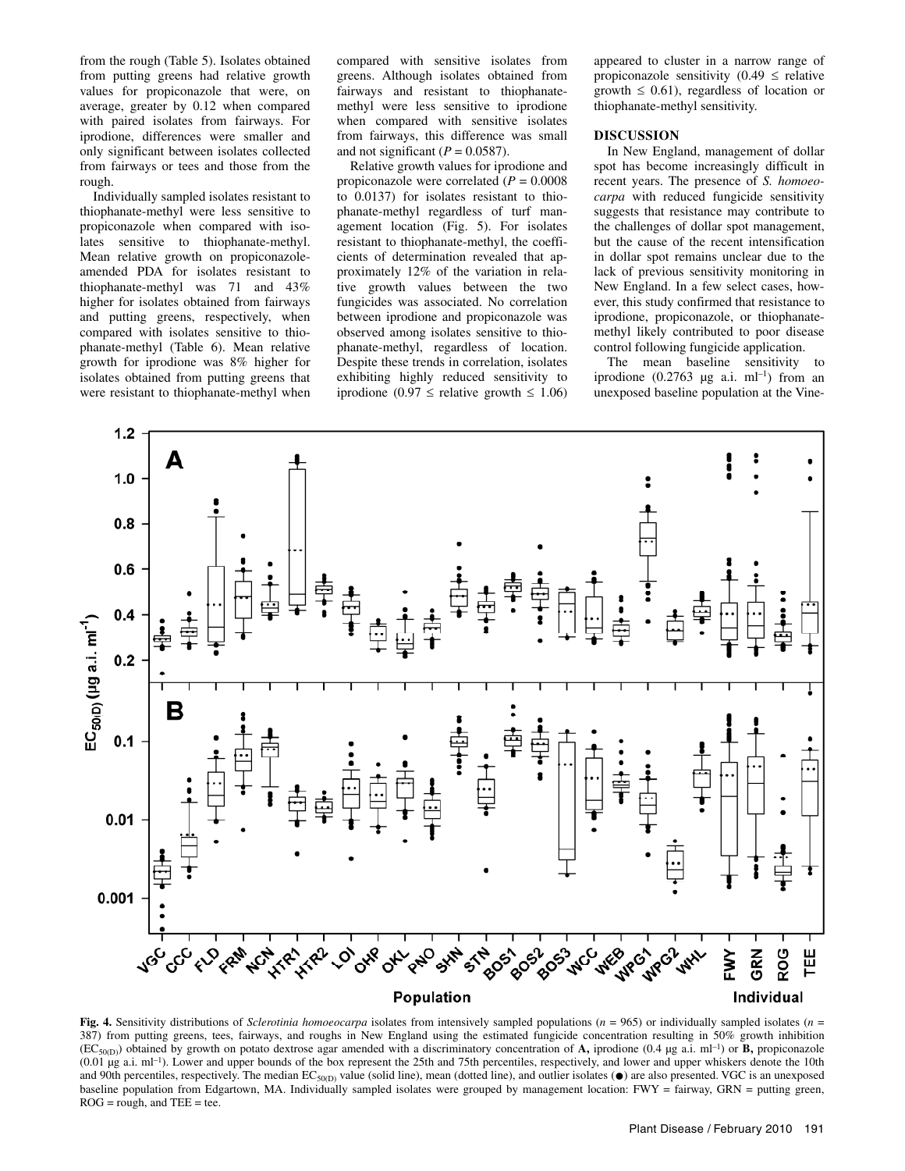from the rough (Table 5). Isolates obtained from putting greens had relative growth values for propiconazole that were, on average, greater by 0.12 when compared with paired isolates from fairways. For iprodione, differences were smaller and only significant between isolates collected from fairways or tees and those from the rough.

Individually sampled isolates resistant to thiophanate-methyl were less sensitive to propiconazole when compared with isolates sensitive to thiophanate-methyl. Mean relative growth on propiconazoleamended PDA for isolates resistant to thiophanate-methyl was 71 and 43% higher for isolates obtained from fairways and putting greens, respectively, when compared with isolates sensitive to thiophanate-methyl (Table 6). Mean relative growth for iprodione was 8% higher for isolates obtained from putting greens that were resistant to thiophanate-methyl when

compared with sensitive isolates from greens. Although isolates obtained from fairways and resistant to thiophanatemethyl were less sensitive to iprodione when compared with sensitive isolates from fairways, this difference was small and not significant  $(P = 0.0587)$ .

Relative growth values for iprodione and propiconazole were correlated (*P* = 0.0008 to 0.0137) for isolates resistant to thiophanate-methyl regardless of turf management location (Fig. 5). For isolates resistant to thiophanate-methyl, the coefficients of determination revealed that approximately 12% of the variation in relative growth values between the two fungicides was associated. No correlation between iprodione and propiconazole was observed among isolates sensitive to thiophanate-methyl, regardless of location. Despite these trends in correlation, isolates exhibiting highly reduced sensitivity to iprodione (0.97 ≤ relative growth ≤ 1.06)

appeared to cluster in a narrow range of propiconazole sensitivity  $(0.49 \le$  relative growth  $\leq$  0.61), regardless of location or thiophanate-methyl sensitivity.

### **DISCUSSION**

In New England, management of dollar spot has become increasingly difficult in recent years. The presence of *S. homoeocarpa* with reduced fungicide sensitivity suggests that resistance may contribute to the challenges of dollar spot management, but the cause of the recent intensification in dollar spot remains unclear due to the lack of previous sensitivity monitoring in New England. In a few select cases, however, this study confirmed that resistance to iprodione, propiconazole, or thiophanatemethyl likely contributed to poor disease control following fungicide application.

The mean baseline sensitivity to iprodione  $(0.2763 \mu g$  a.i. ml<sup>-1</sup>) from an unexposed baseline population at the Vine-



**Fig. 4.** Sensitivity distributions of *Sclerotinia homoeocarpa* isolates from intensively sampled populations (*n* = 965) or individually sampled isolates (*n* = 387) from putting greens, tees, fairways, and roughs in New England using the estimated fungicide concentration resulting in 50% growth inhibition  $(EC_{50(D)})$  obtained by growth on potato dextrose agar amended with a discriminatory concentration of **A**, iprodione (0.4 µg a.i. ml<sup>-1</sup>) or **B**, propiconazole (0.01 µg a.i. ml–1). Lower and upper bounds of the box represent the 25th and 75th percentiles, respectively, and lower and upper whiskers denote the 10th and 90th percentiles, respectively. The median  $EC_{50(D)}$  value (solid line), mean (dotted line), and outlier isolates ( $\bullet$ ) are also presented. VGC is an unexposed baseline population from Edgartown, MA. Individually sampled isolates were grouped by management location: FWY = fairway, GRN = putting green,  $ROG = rough$ , and  $TEE = tee$ .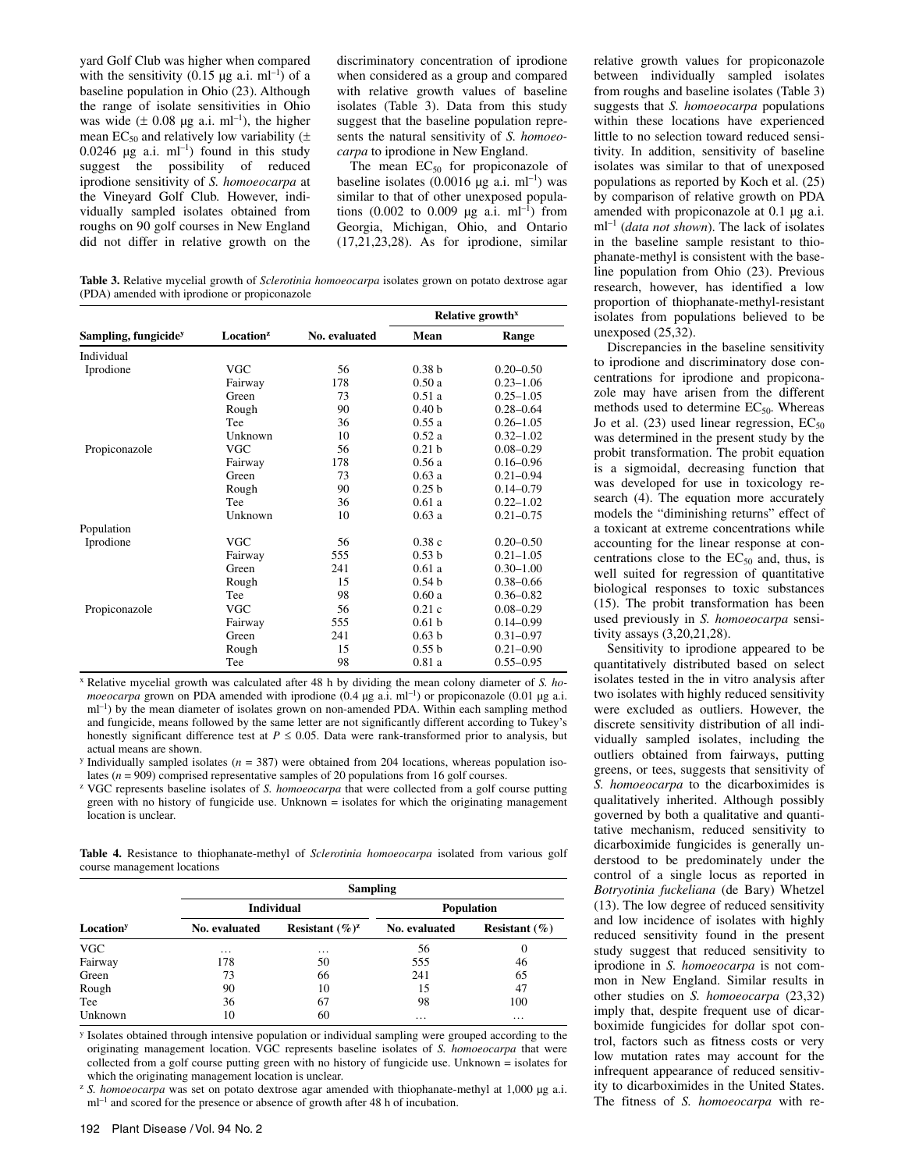yard Golf Club was higher when compared with the sensitivity  $(0.15 \text{ µg a.i. m}^{-1})$  of a baseline population in Ohio (23). Although the range of isolate sensitivities in Ohio was wide ( $\pm$  0.08 µg a.i. ml<sup>-1</sup>), the higher mean EC<sub>50</sub> and relatively low variability  $(±)$ 0.0246  $\mu$ g a.i. ml<sup>-1</sup>) found in this study suggest the possibility of reduced iprodione sensitivity of *S. homoeocarpa* at the Vineyard Golf Club. However, individually sampled isolates obtained from roughs on 90 golf courses in New England did not differ in relative growth on the

discriminatory concentration of iprodione when considered as a group and compared with relative growth values of baseline isolates (Table 3). Data from this study suggest that the baseline population represents the natural sensitivity of *S. homoeocarpa* to iprodione in New England.

The mean  $EC_{50}$  for propiconazole of baseline isolates (0.0016  $\mu$ g a.i. ml<sup>-1</sup>) was similar to that of other unexposed populations (0.002 to 0.009  $\mu$ g a.i. ml<sup>-1</sup>) from Georgia, Michigan, Ohio, and Ontario (17,21,23,28). As for iprodione, similar

**Table 3.** Relative mycelial growth of *Sclerotinia homoeocarpa* isolates grown on potato dextrose agar (PDA) amended with iprodione or propiconazole

|                                  |                       |               | Relative growth <sup>x</sup> |               |
|----------------------------------|-----------------------|---------------|------------------------------|---------------|
| Sampling, fungicide <sup>y</sup> | Location <sup>z</sup> | No. evaluated | Mean                         | Range         |
| Individual                       |                       |               |                              |               |
| Iprodione                        | <b>VGC</b>            | 56            | 0.38 <sub>b</sub>            | $0.20 - 0.50$ |
|                                  | Fairway               | 178           | 0.50a                        | $0.23 - 1.06$ |
|                                  | Green                 | 73            | 0.51a                        | $0.25 - 1.05$ |
|                                  | Rough                 | 90            | 0.40 <sub>b</sub>            | $0.28 - 0.64$ |
|                                  | Tee                   | 36            | 0.55a                        | $0.26 - 1.05$ |
|                                  | Unknown               | 10            | 0.52a                        | $0.32 - 1.02$ |
| Propiconazole                    | <b>VGC</b>            | 56            | 0.21 <sub>b</sub>            | $0.08 - 0.29$ |
|                                  | Fairway               | 178           | 0.56a                        | $0.16 - 0.96$ |
|                                  | Green                 | 73            | 0.63a                        | $0.21 - 0.94$ |
|                                  | Rough                 | 90            | 0.25 <sub>b</sub>            | $0.14 - 0.79$ |
|                                  | Tee                   | 36            | 0.61a                        | $0.22 - 1.02$ |
|                                  | Unknown               | 10            | 0.63a                        | $0.21 - 0.75$ |
| Population                       |                       |               |                              |               |
| Iprodione                        | <b>VGC</b>            | 56            | 0.38c                        | $0.20 - 0.50$ |
|                                  | Fairway               | 555           | 0.53 <sub>b</sub>            | $0.21 - 1.05$ |
|                                  | Green                 | 241           | 0.61a                        | $0.30 - 1.00$ |
|                                  | Rough                 | 15            | 0.54h                        | $0.38 - 0.66$ |
|                                  | Tee                   | 98            | 0.60a                        | $0.36 - 0.82$ |
| Propiconazole                    | VGC                   | 56            | 0.21c                        | $0.08 - 0.29$ |
|                                  | Fairway               | 555           | 0.61 <sub>b</sub>            | $0.14 - 0.99$ |
|                                  | Green                 | 241           | 0.63 <sub>b</sub>            | $0.31 - 0.97$ |
|                                  | Rough                 | 15            | 0.55h                        | $0.21 - 0.90$ |
|                                  | Tee                   | 98            | 0.81a                        | $0.55 - 0.95$ |

x Relative mycelial growth was calculated after 48 h by dividing the mean colony diameter of *S. homoeocarpa* grown on PDA amended with iprodione (0.4 µg a.i. ml<sup>-1</sup>) or propiconazole (0.01 µg a.i.  $ml^{-1}$ ) by the mean diameter of isolates grown on non-amended PDA. Within each sampling method and fungicide, means followed by the same letter are not significantly different according to Tukey's honestly significant difference test at  $P \le 0.05$ . Data were rank-transformed prior to analysis, but actual means are shown.

<sup>y</sup> Individually sampled isolates ( $n = 387$ ) were obtained from 204 locations, whereas population isolates (*n* = 909) comprised representative samples of 20 populations from 16 golf courses.<br><sup>z</sup> VGC represents baseline isolates of *S. homoeocarpa* that were collected from a golf course putting

green with no history of fungicide use. Unknown = isolates for which the originating management location is unclear.

**Table 4.** Resistance to thiophanate-methyl of *Sclerotinia homoeocarpa* isolated from various golf course management locations

|                       | <b>Sampling</b> |                    |                   |                   |  |  |
|-----------------------|-----------------|--------------------|-------------------|-------------------|--|--|
| Location <sup>y</sup> |                 | <b>Individual</b>  | <b>Population</b> |                   |  |  |
|                       | No. evaluated   | Resistant $(\%)^z$ | No. evaluated     | Resistant $(\% )$ |  |  |
| <b>VGC</b>            | $\cdots$        | $\cdots$           | 56                | U                 |  |  |
| Fairway               | 178             | 50                 | 555               | 46                |  |  |
| Green                 | 73              | 66                 | 241               | 65                |  |  |
| Rough                 | 90              | 10                 | 15                | 47                |  |  |
| Tee                   | 36              | 67                 | 98                | 100               |  |  |
| Unknown               | 10              | 60                 | $\cdots$          | $\cdot$           |  |  |

y Isolates obtained through intensive population or individual sampling were grouped according to the originating management location. VGC represents baseline isolates of *S. homoeocarpa* that were collected from a golf course putting green with no history of fungicide use. Unknown = isolates for which the originating management location is unclear.

<sup>z</sup> S. homoeocarpa was set on potato dextrose agar amended with thiophanate-methyl at 1,000 µg a.i. m<sup>-1</sup> and scored for the presence or absence of growth after 48 h of incubation.

between individually sampled isolates from roughs and baseline isolates (Table 3) suggests that *S. homoeocarpa* populations within these locations have experienced little to no selection toward reduced sensitivity. In addition, sensitivity of baseline isolates was similar to that of unexposed populations as reported by Koch et al. (25) by comparison of relative growth on PDA amended with propiconazole at 0.1 µg a.i. ml–1 (*data not shown*). The lack of isolates in the baseline sample resistant to thiophanate-methyl is consistent with the baseline population from Ohio (23). Previous research, however, has identified a low proportion of thiophanate-methyl-resistant isolates from populations believed to be unexposed (25,32).

relative growth values for propiconazole

Discrepancies in the baseline sensitivity to iprodione and discriminatory dose concentrations for iprodione and propiconazole may have arisen from the different methods used to determine  $EC_{50}$ . Whereas Jo et al.  $(23)$  used linear regression,  $EC_{50}$ was determined in the present study by the probit transformation. The probit equation is a sigmoidal, decreasing function that was developed for use in toxicology research (4). The equation more accurately models the "diminishing returns" effect of a toxicant at extreme concentrations while accounting for the linear response at concentrations close to the  $EC_{50}$  and, thus, is well suited for regression of quantitative biological responses to toxic substances (15). The probit transformation has been used previously in *S. homoeocarpa* sensitivity assays (3,20,21,28).

Sensitivity to iprodione appeared to be quantitatively distributed based on select isolates tested in the in vitro analysis after two isolates with highly reduced sensitivity were excluded as outliers. However, the discrete sensitivity distribution of all individually sampled isolates, including the outliers obtained from fairways, putting greens, or tees, suggests that sensitivity of *S. homoeocarpa* to the dicarboximides is qualitatively inherited. Although possibly governed by both a qualitative and quantitative mechanism, reduced sensitivity to dicarboximide fungicides is generally understood to be predominately under the control of a single locus as reported in *Botryotinia fuckeliana* (de Bary) Whetzel (13). The low degree of reduced sensitivity and low incidence of isolates with highly reduced sensitivity found in the present study suggest that reduced sensitivity to iprodione in *S. homoeocarpa* is not common in New England. Similar results in other studies on *S. homoeocarpa* (23,32) imply that, despite frequent use of dicarboximide fungicides for dollar spot control, factors such as fitness costs or very low mutation rates may account for the infrequent appearance of reduced sensitivity to dicarboximides in the United States. The fitness of *S. homoeocarpa* with re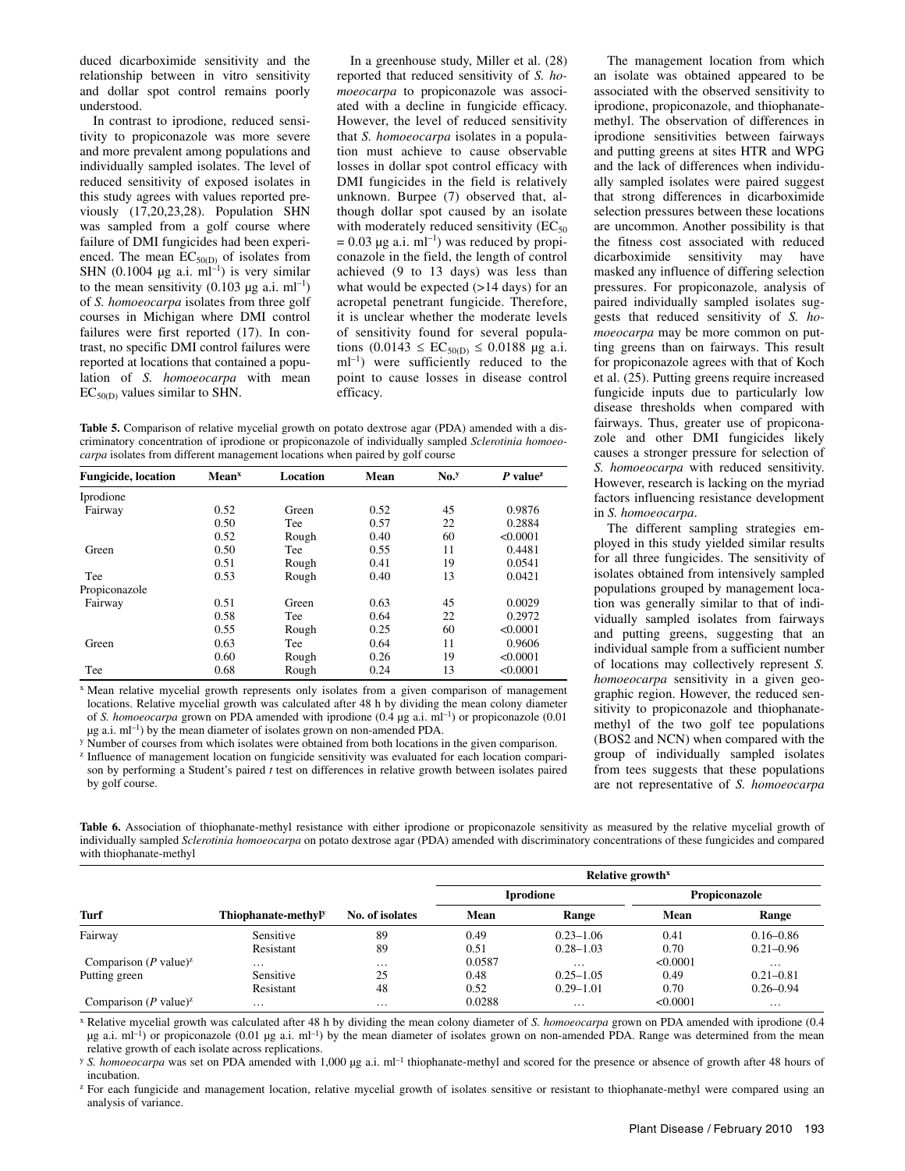duced dicarboximide sensitivity and the relationship between in vitro sensitivity and dollar spot control remains poorly understood.

In contrast to iprodione, reduced sensitivity to propiconazole was more severe and more prevalent among populations and individually sampled isolates. The level of reduced sensitivity of exposed isolates in this study agrees with values reported previously (17,20,23,28). Population SHN was sampled from a golf course where failure of DMI fungicides had been experienced. The mean  $EC_{50(D)}$  of isolates from SHN (0.1004  $\mu$ g a.i. ml<sup>-1</sup>) is very similar to the mean sensitivity  $(0.103 \mu g a.i. \text{ ml}^{-1})$ of *S. homoeocarpa* isolates from three golf courses in Michigan where DMI control failures were first reported (17). In contrast, no specific DMI control failures were reported at locations that contained a population of *S. homoeocarpa* with mean  $EC<sub>50(D)</sub>$  values similar to SHN.

In a greenhouse study, Miller et al. (28) reported that reduced sensitivity of *S. homoeocarpa* to propiconazole was associated with a decline in fungicide efficacy. However, the level of reduced sensitivity that *S. homoeocarpa* isolates in a population must achieve to cause observable losses in dollar spot control efficacy with DMI fungicides in the field is relatively unknown. Burpee (7) observed that, although dollar spot caused by an isolate with moderately reduced sensitivity  $(EC_{50})$  $= 0.03 \mu g$  a.i. ml<sup>-1</sup>) was reduced by propiconazole in the field, the length of control achieved (9 to 13 days) was less than what would be expected  $(>14 \text{ days})$  for an acropetal penetrant fungicide. Therefore, it is unclear whether the moderate levels of sensitivity found for several populations  $(0.0143 \leq EC_{50(D)} \leq 0.0188 \text{ µg a.i.})$  $ml^{-1}$ ) were sufficiently reduced to the point to cause losses in disease control efficacy.

**Table 5.** Comparison of relative mycelial growth on potato dextrose agar (PDA) amended with a discriminatory concentration of iprodione or propiconazole of individually sampled *Sclerotinia homoeocarpa* isolates from different management locations when paired by golf course

| <b>Fungicide</b> , location | <b>Mean</b> <sup>x</sup> | Location | Mean | $No.$ <sup>y</sup> | $P$ value <sup>z</sup> |
|-----------------------------|--------------------------|----------|------|--------------------|------------------------|
| Iprodione                   |                          |          |      |                    |                        |
| Fairway                     | 0.52                     | Green    | 0.52 | 45                 | 0.9876                 |
|                             | 0.50                     | Tee      | 0.57 | 22                 | 0.2884                 |
|                             | 0.52                     | Rough    | 0.40 | 60                 | < 0.0001               |
| Green                       | 0.50                     | Tee      | 0.55 | 11                 | 0.4481                 |
|                             | 0.51                     | Rough    | 0.41 | 19                 | 0.0541                 |
| Tee                         | 0.53                     | Rough    | 0.40 | 13                 | 0.0421                 |
| Propiconazole               |                          |          |      |                    |                        |
| Fairway                     | 0.51                     | Green    | 0.63 | 45                 | 0.0029                 |
|                             | 0.58                     | Tee      | 0.64 | 22                 | 0.2972                 |
|                             | 0.55                     | Rough    | 0.25 | 60                 | < 0.0001               |
| Green                       | 0.63                     | Tee      | 0.64 | 11                 | 0.9606                 |
|                             | 0.60                     | Rough    | 0.26 | 19                 | < 0.0001               |
| Tee                         | 0.68                     | Rough    | 0.24 | 13                 | < 0.0001               |
|                             |                          |          |      |                    |                        |

x Mean relative mycelial growth represents only isolates from a given comparison of management locations. Relative mycelial growth was calculated after 48 h by dividing the mean colony diameter of *S. homoeocarpa* grown on PDA amended with iprodione (0.4  $\mu$ g a.i. ml<sup>-1</sup>) or propiconazole (0.01  $\mu$ g a.i. ml<sup>-1</sup>) by the mean diameter of isolates grown on non-amended PDA.

<sup>y</sup> Number of courses from which isolates were obtained from both locations in the given comparison.<br><sup>z</sup> Influence of management location on fungicide sensitivity was evaluated for each location comparison by performing a Student's paired *t* test on differences in relative growth between isolates paired by golf course.

The management location from which an isolate was obtained appeared to be associated with the observed sensitivity to iprodione, propiconazole, and thiophanatemethyl. The observation of differences in iprodione sensitivities between fairways and putting greens at sites HTR and WPG and the lack of differences when individually sampled isolates were paired suggest that strong differences in dicarboximide selection pressures between these locations are uncommon. Another possibility is that the fitness cost associated with reduced dicarboximide sensitivity may have masked any influence of differing selection pressures. For propiconazole, analysis of paired individually sampled isolates suggests that reduced sensitivity of *S. homoeocarpa* may be more common on putting greens than on fairways. This result for propiconazole agrees with that of Koch et al. (25). Putting greens require increased fungicide inputs due to particularly low disease thresholds when compared with fairways. Thus, greater use of propiconazole and other DMI fungicides likely causes a stronger pressure for selection of *S. homoeocarpa* with reduced sensitivity. However, research is lacking on the myriad factors influencing resistance development in *S. homoeocarpa*.

The different sampling strategies employed in this study yielded similar results for all three fungicides. The sensitivity of isolates obtained from intensively sampled populations grouped by management location was generally similar to that of individually sampled isolates from fairways and putting greens, suggesting that an individual sample from a sufficient number of locations may collectively represent *S. homoeocarpa* sensitivity in a given geographic region. However, the reduced sensitivity to propiconazole and thiophanatemethyl of the two golf tee populations (BOS2 and NCN) when compared with the group of individually sampled isolates from tees suggests that these populations are not representative of *S. homoeocarpa*

Table 6. Association of thiophanate-methyl resistance with either iprodione or propiconazole sensitivity as measured by the relative mycelial growth of individually sampled *Sclerotinia homoeocarpa* on potato dextrose agar (PDA) amended with discriminatory concentrations of these fungicides and compared with thiophanate-methyl

|                                           |                     | No. of isolates | Relative growth <sup>x</sup> |               |               |               |
|-------------------------------------------|---------------------|-----------------|------------------------------|---------------|---------------|---------------|
|                                           |                     |                 | <b>Iprodione</b>             |               | Propiconazole |               |
| Turf                                      | Thiophanate-methyly |                 | Mean                         | Range         | Mean          | Range         |
| Fairway                                   | Sensitive           | 89              | 0.49                         | $0.23 - 1.06$ | 0.41          | $0.16 - 0.86$ |
|                                           | Resistant           | 89              | 0.51                         | $0.28 - 1.03$ | 0.70          | $0.21 - 0.96$ |
| Comparison ( <i>P</i> value) <sup>2</sup> | $\cdots$            | $\cdots$        | 0.0587                       | $\cdots$      | < 0.0001      | $\cdots$      |
| Putting green                             | Sensitive           | 25              | 0.48                         | $0.25 - 1.05$ | 0.49          | $0.21 - 0.81$ |
|                                           | Resistant           | 48              | 0.52                         | $0.29 - 1.01$ | 0.70          | $0.26 - 0.94$ |
| Comparison ( <i>P</i> value) <sup>2</sup> | $\cdots$            | $\cdots$        | 0.0288                       | $\cdots$      | < 0.0001      | $\cdots$      |

x Relative mycelial growth was calculated after 48 h by dividing the mean colony diameter of *S. homoeocarpa* grown on PDA amended with iprodione (0.4  $\mu$ g a.i. ml<sup>-1</sup>) or propiconazole (0.01  $\mu$ g a.i. ml<sup>-1</sup>) by the mean diameter of isolates grown on non-amended PDA. Range was determined from the mean relative growth of each isolate across replications.

<sup>y</sup> S. homoeocarpa was set on PDA amended with 1,000 µg a.i. ml<sup>-1</sup> thiophanate-methyl and scored for the presence or absence of growth after 48 hours of incubation.

<sup>z</sup> For each fungicide and management location, relative mycelial growth of isolates sensitive or resistant to thiophanate-methyl were compared using an analysis of variance.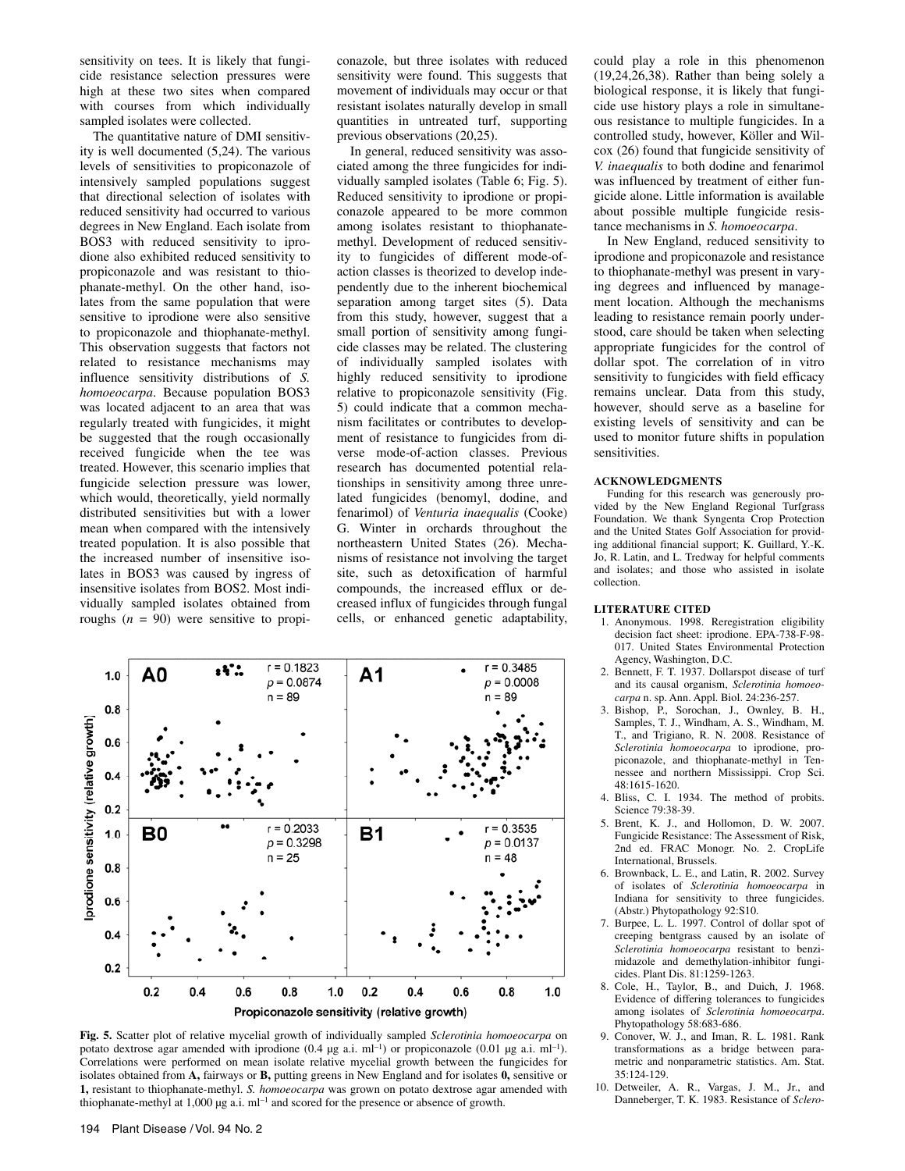sensitivity on tees. It is likely that fungicide resistance selection pressures were high at these two sites when compared with courses from which individually sampled isolates were collected.

The quantitative nature of DMI sensitivity is well documented (5,24). The various levels of sensitivities to propiconazole of intensively sampled populations suggest that directional selection of isolates with reduced sensitivity had occurred to various degrees in New England. Each isolate from BOS3 with reduced sensitivity to iprodione also exhibited reduced sensitivity to propiconazole and was resistant to thiophanate-methyl. On the other hand, isolates from the same population that were sensitive to iprodione were also sensitive to propiconazole and thiophanate-methyl. This observation suggests that factors not related to resistance mechanisms may influence sensitivity distributions of *S. homoeocarpa*. Because population BOS3 was located adjacent to an area that was regularly treated with fungicides, it might be suggested that the rough occasionally received fungicide when the tee was treated. However, this scenario implies that fungicide selection pressure was lower, which would, theoretically, yield normally distributed sensitivities but with a lower mean when compared with the intensively treated population. It is also possible that the increased number of insensitive isolates in BOS3 was caused by ingress of insensitive isolates from BOS2. Most individually sampled isolates obtained from roughs  $(n = 90)$  were sensitive to propiconazole, but three isolates with reduced sensitivity were found. This suggests that movement of individuals may occur or that resistant isolates naturally develop in small quantities in untreated turf, supporting previous observations (20,25).

In general, reduced sensitivity was associated among the three fungicides for individually sampled isolates (Table 6; Fig. 5). Reduced sensitivity to iprodione or propiconazole appeared to be more common among isolates resistant to thiophanatemethyl. Development of reduced sensitivity to fungicides of different mode-ofaction classes is theorized to develop independently due to the inherent biochemical separation among target sites (5). Data from this study, however, suggest that a small portion of sensitivity among fungicide classes may be related. The clustering of individually sampled isolates with highly reduced sensitivity to iprodione relative to propiconazole sensitivity (Fig. 5) could indicate that a common mechanism facilitates or contributes to development of resistance to fungicides from diverse mode-of-action classes. Previous research has documented potential relationships in sensitivity among three unrelated fungicides (benomyl, dodine, and fenarimol) of *Venturia inaequalis* (Cooke) G. Winter in orchards throughout the northeastern United States (26). Mechanisms of resistance not involving the target site, such as detoxification of harmful compounds, the increased efflux or decreased influx of fungicides through fungal cells, or enhanced genetic adaptability,



**Fig. 5.** Scatter plot of relative mycelial growth of individually sampled *Sclerotinia homoeocarpa* on potato dextrose agar amended with iprodione (0.4  $\mu$ g a.i. ml<sup>-1</sup>) or propiconazole (0.01  $\mu$ g a.i. ml<sup>-1</sup>). Correlations were performed on mean isolate relative mycelial growth between the fungicides for isolates obtained from **A,** fairways or **B,** putting greens in New England and for isolates **0,** sensitive or **1,** resistant to thiophanate-methyl. *S. homoeocarpa* was grown on potato dextrose agar amended with thiophanate-methyl at  $1,000 \mu g$  a.i. ml<sup>-1</sup> and scored for the presence or absence of growth.

could play a role in this phenomenon (19,24,26,38). Rather than being solely a biological response, it is likely that fungicide use history plays a role in simultaneous resistance to multiple fungicides. In a controlled study, however, Köller and Wilcox (26) found that fungicide sensitivity of *V. inaequalis* to both dodine and fenarimol was influenced by treatment of either fungicide alone. Little information is available about possible multiple fungicide resistance mechanisms in *S. homoeocarpa*.

In New England, reduced sensitivity to iprodione and propiconazole and resistance to thiophanate-methyl was present in varying degrees and influenced by management location. Although the mechanisms leading to resistance remain poorly understood, care should be taken when selecting appropriate fungicides for the control of dollar spot. The correlation of in vitro sensitivity to fungicides with field efficacy remains unclear. Data from this study, however, should serve as a baseline for existing levels of sensitivity and can be used to monitor future shifts in population sensitivities.

### **ACKNOWLEDGMENTS**

Funding for this research was generously provided by the New England Regional Turfgrass Foundation. We thank Syngenta Crop Protection and the United States Golf Association for providing additional financial support; K. Guillard, Y.-K. Jo, R. Latin, and L. Tredway for helpful comments and isolates; and those who assisted in isolate collection.

#### **LITERATURE CITED**

- 1. Anonymous. 1998. Reregistration eligibility decision fact sheet: iprodione. EPA-738-F-98- 017. United States Environmental Protection Agency, Washington, D.C.
- 2. Bennett, F. T. 1937. Dollarspot disease of turf and its causal organism, *Sclerotinia homoeocarpa* n. sp. Ann. Appl. Biol. 24:236-257.
- 3. Bishop, P., Sorochan, J., Ownley, B. H., Samples, T. J., Windham, A. S., Windham, M. T., and Trigiano, R. N. 2008. Resistance of *Sclerotinia homoeocarpa* to iprodione, propiconazole, and thiophanate-methyl in Tennessee and northern Mississippi. Crop Sci. 48:1615-1620.
- 4. Bliss, C. I. 1934. The method of probits. Science 79:38-39.
- 5. Brent, K. J., and Hollomon, D. W. 2007. Fungicide Resistance: The Assessment of Risk, 2nd ed. FRAC Monogr. No. 2. CropLife International, Brussels.
- 6. Brownback, L. E., and Latin, R. 2002. Survey of isolates of *Sclerotinia homoeocarpa* in Indiana for sensitivity to three fungicides. (Abstr.) Phytopathology 92:S10.
- 7. Burpee, L. L. 1997. Control of dollar spot of creeping bentgrass caused by an isolate of *Sclerotinia homoeocarpa* resistant to benzimidazole and demethylation-inhibitor fungicides. Plant Dis. 81:1259-1263.
- 8. Cole, H., Taylor, B., and Duich, J. 1968. Evidence of differing tolerances to fungicides among isolates of *Sclerotinia homoeocarpa*. Phytopathology 58:683-686.
- 9. Conover, W. J., and Iman, R. L. 1981. Rank transformations as a bridge between parametric and nonparametric statistics. Am. Stat. 35:124-129.
- 10. Detweiler, A. R., Vargas, J. M., Jr., and Danneberger, T. K. 1983. Resistance of *Sclero-*